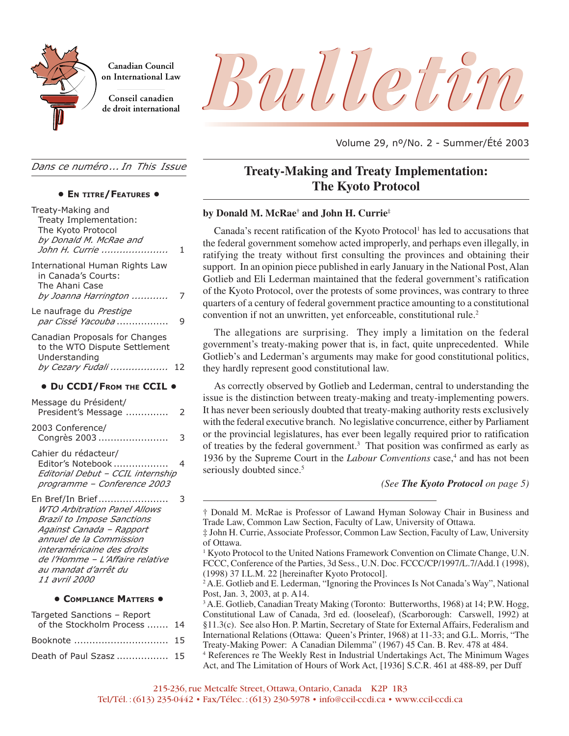

**Canadian Council on International Law**

**Conseil canadien**



Volume 29, nº/No. 2 - Summer/Été 2003

*Dans ce numéro ... In This Issue*

#### **• EN TITRE/FEATURES •**

| Treaty-Making and<br>Treaty Implementation:<br>The Kyoto Protocol<br>by Donald M. McRae and<br>John H. Currie                                                                                                                                          | 1 |
|--------------------------------------------------------------------------------------------------------------------------------------------------------------------------------------------------------------------------------------------------------|---|
| <b>International Human Rights Law</b><br>in Canada's Courts:<br>The Ahani Case<br>by Joanna Harrington                                                                                                                                                 | 7 |
| Le naufrage du Prestige<br>par Cissé Yacouba                                                                                                                                                                                                           | 9 |
| Canadian Proposals for Changes<br>to the WTO Dispute Settlement<br>Understanding<br>by Cezary Fudali  12                                                                                                                                               |   |
| • DU CCDI/FROM THE CCIL .                                                                                                                                                                                                                              |   |
| Message du Président/<br>President's Message                                                                                                                                                                                                           | 2 |
| 2003 Conference/<br>Congrès 2003                                                                                                                                                                                                                       | 3 |
| Cahier du rédacteur/<br>Editor's Notebook<br>Editorial Debut - CCIL internship<br>programme - Conference 2003                                                                                                                                          | 4 |
| En Bref/In Brief<br>WTO Arbitration Panel Allows<br><b>Brazil to Impose Sanctions</b><br>Against Canada - Rapport<br>annuel de la Commission<br>interaméricaine des droits<br>de l'Homme - L'Affaire relative<br>au mandat d'arrêt du<br>11 avril 2000 | 3 |
| • COMPLIANCE MATTERS                                                                                                                                                                                                                                   |   |
| Targeted Sanctions - Report                                                                                                                                                                                                                            |   |

| <u>rangelea Barrelions</u> Report |  |
|-----------------------------------|--|
| of the Stockholm Process  14      |  |
| Booknote  15                      |  |
| Death of Paul Szasz  15           |  |

# **Treaty-Making and Treaty Implementation: The Kyoto Protocol**

#### **by Donald M. McRae† and John H. Currie‡**

Canada's recent ratification of the Kyoto Protocol<sup>1</sup> has led to accusations that the federal government somehow acted improperly, and perhaps even illegally, in ratifying the treaty without first consulting the provinces and obtaining their support. In an opinion piece published in early January in the National Post, Alan Gotlieb and Eli Lederman maintained that the federal government's ratification of the Kyoto Protocol, over the protests of some provinces, was contrary to three quarters of a century of federal government practice amounting to a constitutional convention if not an unwritten, yet enforceable, constitutional rule.2

The allegations are surprising. They imply a limitation on the federal government's treaty-making power that is, in fact, quite unprecedented. While Gotlieb's and Lederman's arguments may make for good constitutional politics, they hardly represent good constitutional law.

As correctly observed by Gotlieb and Lederman, central to understanding the issue is the distinction between treaty-making and treaty-implementing powers. It has never been seriously doubted that treaty-making authority rests exclusively with the federal executive branch. No legislative concurrence, either by Parliament or the provincial legislatures, has ever been legally required prior to ratification of treaties by the federal government.<sup>3</sup> That position was confirmed as early as 1936 by the Supreme Court in the *Labour Conventions* case,<sup>4</sup> and has not been seriously doubted since.<sup>5</sup>

*(See The Kyoto Protocol on page 5)*

<sup>†</sup> Donald M. McRae is Professor of Lawand Hyman Soloway Chair in Business and Trade Law, Common Law Section, Faculty of Law, University of Ottawa.

<sup>‡</sup> John H. Currie, Associate Professor, Common Law Section, Faculty of Law, University of Ottawa.

<sup>&</sup>lt;sup>1</sup> Kyoto Protocol to the United Nations Framework Convention on Climate Change, U.N. FCCC, Conference of the Parties, 3d Sess., U.N. Doc. FCCC/CP/1997/L.7/Add.1 (1998), (1998) 37 I.L.M. 22 [hereinafter Kyoto Protocol].

<sup>2</sup>A.E. Gotlieb and E. Lederman, "Ignoring the Provinces Is Not Canada's Way", National Post, Jan. 3, 2003, at p. A14.

<sup>&</sup>lt;sup>3</sup> A.E. Gotlieb, Canadian Treaty Making (Toronto: Butterworths, 1968) at 14; P.W. Hogg, Constitutional Law of Canada, 3rd ed. (looseleaf), (Scarborough: Carswell, 1992) at §11.3(c). See also Hon. P. Martin, Secretary of State for External Affairs, Federalism and International Relations (Ottawa: Queen's Printer, 1968) at 11-33; and G.L. Morris, "The Treaty-Making Power: A Canadian Dilemma" (1967) 45 Can. B. Rev. 478 at 484.

<sup>4</sup> References re The Weekly Rest in Industrial Undertakings Act, The Minimum Wages Act, and The Limitation of Hours of Work Act, [1936] S.C.R. 461 at 488-89, per Duff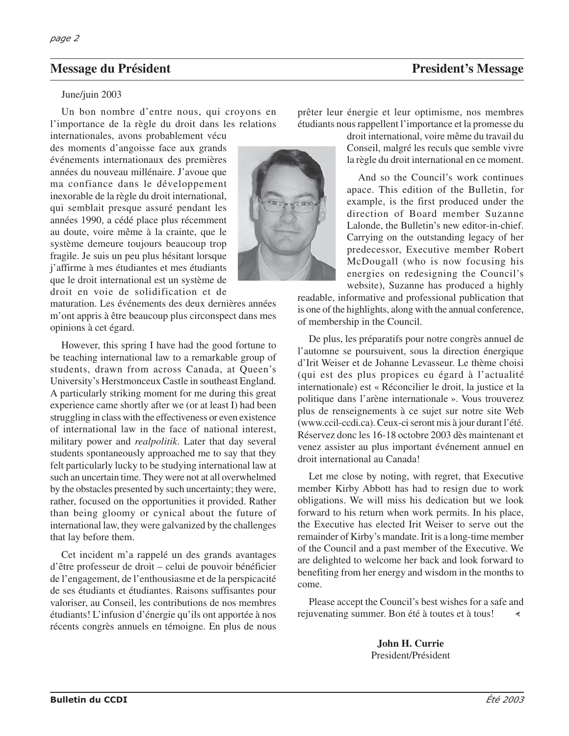## **Message du Président President's Message du Président's Message President's Message President's Message President's Message President's Message President's Message President's Message President's Message President's Messa**

#### June/juin 2003

Un bon nombre d'entre nous, qui croyons en l'importance de la règle du droit dans les relations

internationales, avons probablement vécu des moments d'angoisse face aux grands événements internationaux des premières années du nouveau millénaire. J'avoue que ma confiance dans le développement inexorable de la règle du droit international, qui semblait presque assuré pendant les années 1990, a cédé place plus récemment au doute, voire même à la crainte, que le système demeure toujours beaucoup trop fragile. Je suis un peu plus hésitant lorsque j'affirme à mes étudiantes et mes étudiants que le droit international est un système de droit en voie de solidification et de

maturation. Les événements des deux dernières années m'ont appris à être beaucoup plus circonspect dans mes opinions à cet égard.

However, this spring I have had the good fortune to be teaching international law to a remarkable group of students, drawn from across Canada, at Queen's University's Herstmonceux Castle in southeast England. A particularly striking moment for me during this great experience came shortly after we (or at least I) had been struggling in class with the effectiveness or even existence of international law in the face of national interest, military power and *realpolitik*. Later that day several students spontaneously approached me to say that they felt particularly lucky to be studying international law at such an uncertain time. They were not at all overwhelmed by the obstacles presented by such uncertainty; they were, rather, focused on the opportunities it provided. Rather than being gloomy or cynical about the future of international law, they were galvanized by the challenges that lay before them.

Cet incident m'a rappelé un des grands avantages d'être professeur de droit – celui de pouvoir bénéficier de l'engagement, de l'enthousiasme et de la perspicacité de ses étudiants et étudiantes. Raisons suffisantes pour valoriser, au Conseil, les contributions de nos membres étudiants! L'infusion d'énergie qu'ils ont apportée à nos récents congrès annuels en témoigne. En plus de nous

prêter leur énergie et leur optimisme, nos membres étudiants nous rappellent l'importance et la promesse du

> droit international, voire même du travail du Conseil, malgré les reculs que semble vivre la règle du droit international en ce moment.

> And so the Council's work continues apace. This edition of the Bulletin, for example, is the first produced under the direction of Board member Suzanne Lalonde, the Bulletin's new editor-in-chief. Carrying on the outstanding legacy of her predecessor, Executive member Robert McDougall (who is now focusing his energies on redesigning the Council's website), Suzanne has produced a highly

readable, informative and professional publication that is one of the highlights, along with the annual conference, of membership in the Council.

De plus, les préparatifs pour notre congrès annuel de l'automne se poursuivent, sous la direction énergique d'Irit Weiser et de Johanne Levasseur. Le thème choisi (qui est des plus propices eu égard à l'actualité internationale) est « Réconcilier le droit, la justice et la politique dans l'arène internationale ». Vous trouverez plus de renseignements à ce sujet sur notre site Web (www.ccil-ccdi.ca). Ceux-ci seront mis à jour durant l'été. Réservez donc les 16-18 octobre 2003 dès maintenant et venez assister au plus important événement annuel en droit international au Canada!

Let me close by noting, with regret, that Executive member Kirby Abbott has had to resign due to work obligations. We will miss his dedication but we look forward to his return when work permits. In his place, the Executive has elected Irit Weiser to serve out the remainder of Kirby's mandate. Irit is a long-time member of the Council and a past member of the Executive. We are delighted to welcome her back and look forward to benefiting from her energy and wisdom in the months to come.

Please accept the Council's best wishes for a safe and rejuvenating summer. Bon été à toutes et à tous!

> **John H. Currie** President/Président

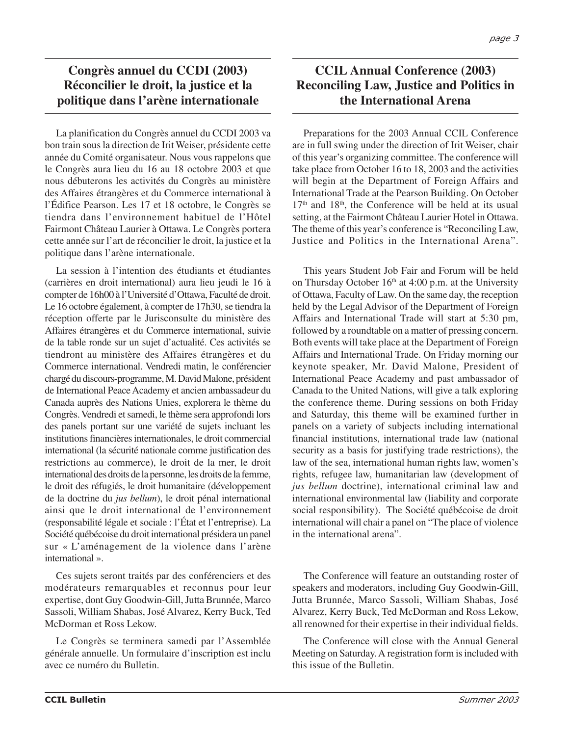# **Congrès annuel du CCDI (2003) Réconcilier le droit, la justice et la politique dans l'arène internationale**

La planification du Congrès annuel du CCDI 2003 va bon train sous la direction de Irit Weiser, présidente cette année du Comité organisateur. Nous vous rappelons que le Congrès aura lieu du 16 au 18 octobre 2003 et que nous débuterons les activités du Congrès au ministère des Affaires étrangères et du Commerce international à l'Édifice Pearson. Les 17 et 18 octobre, le Congrès se tiendra dans l'environnement habituel de l'Hôtel Fairmont Château Laurier à Ottawa. Le Congrès portera cette année sur l'art de réconcilier le droit, la justice et la politique dans l'arène internationale.

La session à l'intention des étudiants et étudiantes (carrières en droit international) aura lieu jeudi le 16 à compter de 16h00 à l'Université d'Ottawa, Faculté de droit. Le 16 octobre également, à compter de 17h30, se tiendra la réception offerte par le Jurisconsulte du ministère des Affaires étrangères et du Commerce international, suivie de la table ronde sur un sujet d'actualité. Ces activités se tiendront au ministère des Affaires étrangères et du Commerce international. Vendredi matin, le conférencier chargé du discours-programme, M. David Malone, président de International Peace Academy et ancien ambassadeur du Canada auprès des Nations Unies, explorera le thème du Congrès. Vendredi et samedi, le thème sera approfondi lors des panels portant sur une variété de sujets incluant les institutions financières internationales, le droit commercial international (la sécurité nationale comme justification des restrictions au commerce), le droit de la mer, le droit international des droits de la personne, les droits de la femme, le droit des réfugiés, le droit humanitaire (développement de la doctrine du *jus bellum*), le droit pénal international ainsi que le droit international de l'environnement (responsabilité légale et sociale : l'État et l'entreprise). La Société québécoise du droit international présidera un panel sur « L'aménagement de la violence dans l'arène international ».

Ces sujets seront traités par des conférenciers et des modérateurs remarquables et reconnus pour leur expertise, dont Guy Goodwin-Gill, Jutta Brunnée, Marco Sassoli, William Shabas, José Alvarez, Kerry Buck, Ted McDorman et Ross Lekow.

Le Congrès se terminera samedi par l'Assemblée générale annuelle. Un formulaire d'inscription est inclu avec ce numéro du Bulletin.

# **CCIL Annual Conference (2003) Reconciling Law, Justice and Politics in the International Arena**

Preparations for the 2003 Annual CCIL Conference are in full swing under the direction of Irit Weiser, chair of this year's organizing committee. The conference will take place from October 16 to 18, 2003 and the activities will begin at the Department of Foreign Affairs and International Trade at the Pearson Building. On October  $17<sup>th</sup>$  and  $18<sup>th</sup>$ , the Conference will be held at its usual setting, at the Fairmont Château Laurier Hotel in Ottawa. The theme of this year's conference is "Reconciling Law, Justice and Politics in the International Arena".

This years Student Job Fair and Forum will be held on Thursday October  $16<sup>th</sup>$  at 4:00 p.m. at the University of Ottawa, Faculty of Law. On the same day, the reception held by the Legal Advisor of the Department of Foreign Affairs and International Trade will start at 5:30 pm, followed by a roundtable on a matter of pressing concern. Both events will take place at the Department of Foreign Affairs and International Trade. On Friday morning our keynote speaker, Mr. David Malone, President of International Peace Academy and past ambassador of Canada to the United Nations, will give a talk exploring the conference theme. During sessions on both Friday and Saturday, this theme will be examined further in panels on a variety of subjects including international financial institutions, international trade law (national security as a basis for justifying trade restrictions), the law of the sea, international human rights law, women's rights, refugee law, humanitarian law (development of *jus bellum* doctrine), international criminal law and international environmental law (liability and corporate social responsibility). The Société québécoise de droit international will chair a panel on "The place of violence in the international arena".

The Conference will feature an outstanding roster of speakers and moderators, including Guy Goodwin-Gill, Jutta Brunnée, Marco Sassoli, William Shabas, José Alvarez, Kerry Buck, Ted McDorman and Ross Lekow, all renowned for their expertise in their individual fields.

The Conference will close with the Annual General Meeting on Saturday. A registration form is included with this issue of the Bulletin.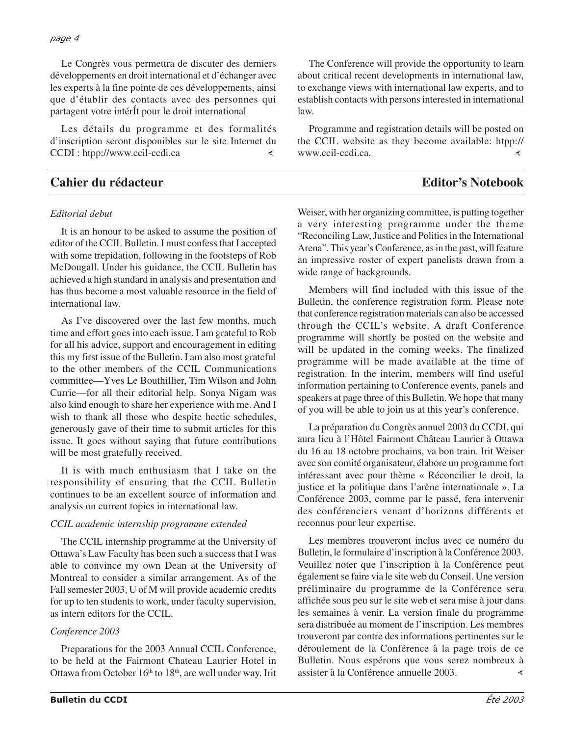Le Congrès vous permettra de discuter des derniers développements en droit international et d'échanger avec les experts à la fine pointe de ces développements, ainsi que d'établir des contacts avec des personnes qui partagent votre intérÍt pour le droit international

Les détails du programme et des formalités d'inscription seront disponibles sur le site Internet du CCDI : htpp://www.ccil-ccdi.ca $\overline{\epsilon}$ 

## **Cahier du rédacteur Editor's Notebook**

## *Editorial debut*

It is an honour to be asked to assume the position of editor of the CCIL Bulletin. I must confess that I accepted with some trepidation, following in the footsteps of Rob McDougall. Under his guidance, the CCIL Bulletin has achieved a high standard in analysis and presentation and has thus become a most valuable resource in the field of international law.

As I've discovered over the last few months, much time and effort goes into each issue. I am grateful to Rob for all his advice, support and encouragement in editing this my first issue of the Bulletin. I am also most grateful to the other members of the CCIL Communications committee—Yves Le Bouthillier, Tim Wilson and John Currie—for all their editorial help. Sonya Nigam was also kind enough to share her experience with me. And I wish to thank all those who despite hectic schedules, generously gave of their time to submit articles for this issue. It goes without saying that future contributions will be most gratefully received.

It is with much enthusiasm that I take on the responsibility of ensuring that the CCIL Bulletin continues to be an excellent source of information and analysis on current topics in international law.

#### *CCIL academic internship programme extended*

The CCIL internship programme at the University of Ottawa's Law Faculty has been such a success that I was able to convince my own Dean at the University of Montreal to consider a similar arrangement. As of the Fall semester 2003, U of M will provide academic credits for up to ten students to work, under faculty supervision, as intern editors for the CCIL.

## *Conference 2003*

Preparations for the 2003 Annual CCIL Conference, to be held at the Fairmont Chateau Laurier Hotel in Ottawa from October  $16<sup>th</sup>$  to  $18<sup>th</sup>$ , are well under way. Irit

The Conference will provide the opportunity to learn about critical recent developments in international law, to exchange views with international law experts, and to establish contacts with persons interested in international law.

Programme and registration details will be posted on the CCIL website as they become available: htpp:// www.ccil-ccdi.ca. ∢

Weiser, with her organizing committee, is putting together a very interesting programme under the theme "Reconciling Law, Justice and Politics in the International Arena". This year's Conference, as in the past, will feature an impressive roster of expert panelists drawn from a wide range of backgrounds.

Members will find included with this issue of the Bulletin, the conference registration form. Please note that conference registration materials can also be accessed through the CCIL's website. A draft Conference programme will shortly be posted on the website and will be updated in the coming weeks. The finalized programme will be made available at the time of registration. In the interim, members will find useful information pertaining to Conference events, panels and speakers at page three of this Bulletin. We hope that many of you will be able to join us at this year's conference.

La préparation du Congrès annuel 2003 du CCDI, qui aura lieu à l'Hôtel Fairmont Château Laurier à Ottawa du 16 au 18 octobre prochains, va bon train. Irit Weiser avec son comité organisateur, élabore un programme fort intéressant avec pour thème « Réconcilier le droit, la justice et la politique dans l'arène internationale ». La Conférence 2003, comme par le passé, fera intervenir des conférenciers venant d'horizons différents et reconnus pour leur expertise.

Les membres trouveront inclus avec ce numéro du Bulletin, le formulaire d'inscription à la Conférence 2003. Veuillez noter que l'inscription à la Conférence peut également se faire via le site web du Conseil. Une version préliminaire du programme de la Conférence sera affichée sous peu sur le site web et sera mise à jour dans les semaines à venir. La version finale du programme sera distribuée au moment de l'inscription. Les membres trouveront par contre des informations pertinentes sur le déroulement de la Conférence à la page trois de ce Bulletin. Nous espérons que vous serez nombreux à assister à la Conférence annuelle 2003. ∢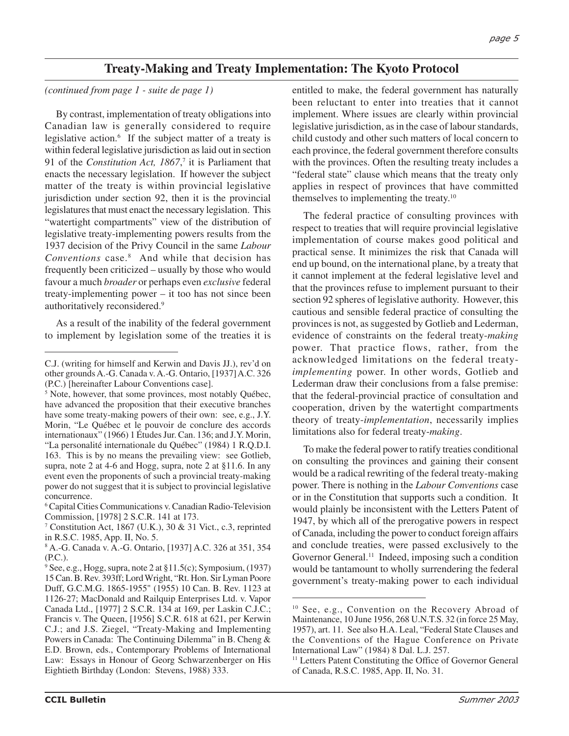# **Treaty-Making and Treaty Implementation: The Kyoto Protocol**

*(continued from page 1 - suite de page 1)*

By contrast, implementation of treaty obligations into Canadian law is generally considered to require legislative action.<sup>6</sup> If the subject matter of a treaty is within federal legislative jurisdiction as laid out in section 91 of the *Constitution Act, 1867*, <sup>7</sup> it is Parliament that enacts the necessary legislation. If however the subject matter of the treaty is within provincial legislative jurisdiction under section 92, then it is the provincial legislatures that must enact the necessary legislation. This "watertight compartments" view of the distribution of legislative treaty-implementing powers results from the 1937 decision of the Privy Council in the same *Labour Conventions* case.8 And while that decision has frequently been criticized – usually by those who would favour a much *broader* or perhaps even *exclusive* federal treaty-implementing power – it too has not since been authoritatively reconsidered.9

As a result of the inability of the federal government to implement by legislation some of the treaties it is

<sup>6</sup> Capital Cities Communications v. Canadian Radio-Television Commission, [1978] 2 S.C.R. 141 at 173.

entitled to make, the federal government has naturally been reluctant to enter into treaties that it cannot implement. Where issues are clearly within provincial legislative jurisdiction, as in the case of labour standards, child custody and other such matters of local concern to each province, the federal government therefore consults with the provinces. Often the resulting treaty includes a "federal state" clause which means that the treaty only applies in respect of provinces that have committed themselves to implementing the treaty.10

The federal practice of consulting provinces with respect to treaties that will require provincial legislative implementation of course makes good political and practical sense. It minimizes the risk that Canada will end up bound, on the international plane, by a treaty that it cannot implement at the federal legislative level and that the provinces refuse to implement pursuant to their section 92 spheres of legislative authority. However, this cautious and sensible federal practice of consulting the provinces is not, as suggested by Gotlieb and Lederman, evidence of constraints on the federal treaty-*making* power. That practice flows, rather, from the acknowledged limitations on the federal treaty*implementing* power. In other words, Gotlieb and Lederman draw their conclusions from a false premise: that the federal-provincial practice of consultation and cooperation, driven by the watertight compartments theory of treaty-*implementation*, necessarily implies limitations also for federal treaty-*making*.

To make the federal power to ratify treaties conditional on consulting the provinces and gaining their consent would be a radical rewriting of the federal treaty-making power. There is nothing in the *Labour Conventions* case or in the Constitution that supports such a condition. It would plainly be inconsistent with the Letters Patent of 1947, by which all of the prerogative powers in respect of Canada, including the power to conduct foreign affairs and conclude treaties, were passed exclusively to the Governor General.<sup>11</sup> Indeed, imposing such a condition would be tantamount to wholly surrendering the federal government's treaty-making power to each individual

C.J. (writing for himself and Kerwin and Davis JJ.), rev'd on other grounds A.-G. Canada v. A.-G. Ontario, [1937] A.C. 326 (P.C.) [hereinafter Labour Conventions case].

<sup>5</sup> Note, however, that some provinces, most notably Québec, have advanced the proposition that their executive branches have some treaty-making powers of their own: see, e.g., J.Y. Morin, "Le Québec et le pouvoir de conclure des accords internationaux" (1966) 1 Études Jur. Can. 136; and J.Y. Morin, "La personalité internationale du Québec" (1984) 1 R.Q.D.I. 163. This is by no means the prevailing view: see Gotlieb, supra, note 2 at 4-6 and Hogg, supra, note 2 at §11.6. In any event even the proponents of such a provincial treaty-making power do not suggest that it is subject to provincial legislative concurrence.

<sup>7</sup> Constitution Act, 1867 (U.K.), 30 & 31 Vict., c.3, reprinted in R.S.C. 1985, App. II, No. 5.

<sup>8</sup> A.-G. Canada v. A.-G. Ontario, [1937] A.C. 326 at 351, 354 (P.C.).

<sup>9</sup> See, e.g., Hogg, supra, note 2 at §11.5(c); Symposium, (1937) 15 Can. B. Rev. 393ff; Lord Wright, "Rt. Hon. Sir Lyman Poore Duff, G.C.M.G. 1865-1955" (1955) 10 Can. B. Rev. 1123 at 1126-27; MacDonald and Railquip Enterprises Ltd. v. Vapor Canada Ltd., [1977] 2 S.C.R. 134 at 169, per Laskin C.J.C.; Francis v. The Queen, [1956] S.C.R. 618 at 621, per Kerwin C.J.; and J.S. Ziegel, "Treaty-Making and Implementing Powers in Canada: The Continuing Dilemma" in B. Cheng & E.D. Brown, eds., Contemporary Problems of International Law: Essays in Honour of Georg Schwarzenberger on His Eightieth Birthday (London: Stevens, 1988) 333.

<sup>10</sup> See, e.g., Convention on the Recovery Abroad of Maintenance, 10 June 1956, 268 U.N.T.S. 32 (in force 25 May, 1957), art. 11. See also H.A. Leal, "Federal State Clauses and the Conventions of the Hague Conference on Private International Law" (1984) 8 Dal. L.J. 257.

<sup>&</sup>lt;sup>11</sup> Letters Patent Constituting the Office of Governor General of Canada, R.S.C. 1985, App. II, No. 31.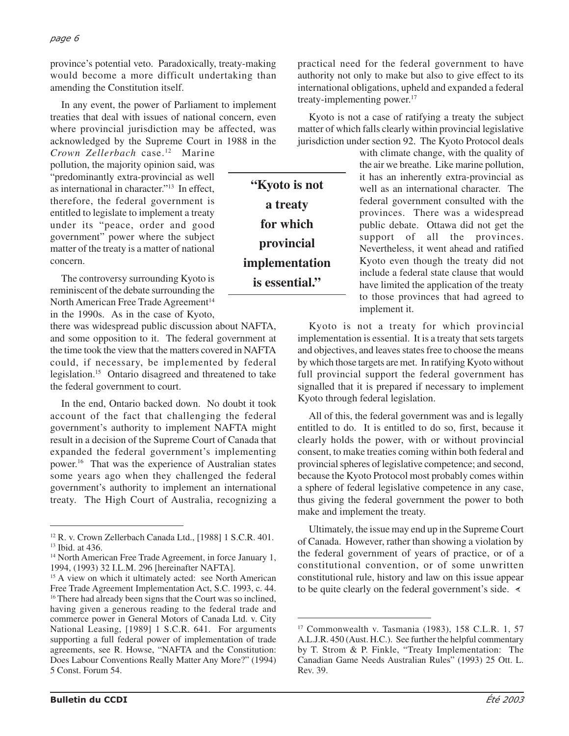province's potential veto. Paradoxically, treaty-making would become a more difficult undertaking than amending the Constitution itself.

In any event, the power of Parliament to implement treaties that deal with issues of national concern, even where provincial jurisdiction may be affected, was acknowledged by the Supreme Court in 1988 in the

**"Kyoto is not**

**a treaty**

**for which**

**provincial**

**implementation is essential."**

*Crown Zellerbach* case.12 Marine pollution, the majority opinion said, was "predominantly extra-provincial as well as international in character."13 In effect, therefore, the federal government is entitled to legislate to implement a treaty under its "peace, order and good government" power where the subject matter of the treaty is a matter of national concern.

The controversy surrounding Kyoto is reminiscent of the debate surrounding the North American Free Trade Agreement<sup>14</sup> in the 1990s. As in the case of Kyoto,

there was widespread public discussion about NAFTA, and some opposition to it. The federal government at the time took the view that the matters covered in NAFTA could, if necessary, be implemented by federal legislation.15 Ontario disagreed and threatened to take the federal government to court.

In the end, Ontario backed down. No doubt it took account of the fact that challenging the federal government's authority to implement NAFTA might result in a decision of the Supreme Court of Canada that expanded the federal government's implementing power.16 That was the experience of Australian states some years ago when they challenged the federal government's authority to implement an international treaty. The High Court of Australia, recognizing a

practical need for the federal government to have authority not only to make but also to give effect to its international obligations, upheld and expanded a federal treaty-implementing power.<sup>17</sup>

Kyoto is not a case of ratifying a treaty the subject matter of which falls clearly within provincial legislative jurisdiction under section 92. The Kyoto Protocol deals

> with climate change, with the quality of the air we breathe. Like marine pollution, it has an inherently extra-provincial as well as an international character. The federal government consulted with the provinces. There was a widespread public debate. Ottawa did not get the support of all the provinces. Nevertheless, it went ahead and ratified Kyoto even though the treaty did not include a federal state clause that would have limited the application of the treaty to those provinces that had agreed to implement it.

Kyoto is not a treaty for which provincial implementation is essential. It is a treaty that sets targets and objectives, and leaves states free to choose the means by which those targets are met. In ratifying Kyoto without full provincial support the federal government has signalled that it is prepared if necessary to implement Kyoto through federal legislation.

All of this, the federal government was and is legally entitled to do. It is entitled to do so, first, because it clearly holds the power, with or without provincial consent, to make treaties coming within both federal and provincial spheres of legislative competence; and second, because the Kyoto Protocol most probably comes within a sphere of federal legislative competence in any case, thus giving the federal government the power to both make and implement the treaty.

Ultimately, the issue may end up in the Supreme Court of Canada. However, rather than showing a violation by the federal government of years of practice, or of a constitutional convention, or of some unwritten constitutional rule, history and law on this issue appear to be quite clearly on the federal government's side.  $\leq$ 

<sup>12</sup> R. v. Crown Zellerbach Canada Ltd., [1988] 1 S.C.R. 401. 13 Ibid. at 436.

<sup>&</sup>lt;sup>14</sup> North American Free Trade Agreement, in force January 1, 1994, (1993) 32 I.L.M. 296 [hereinafter NAFTA].

<sup>&</sup>lt;sup>15</sup> A view on which it ultimately acted: see North American Free Trade Agreement Implementation Act, S.C. 1993, c. 44. <sup>16</sup> There had already been signs that the Court was so inclined, having given a generous reading to the federal trade and commerce power in General Motors of Canada Ltd. v. City National Leasing, [1989] 1 S.C.R. 641. For arguments supporting a full federal power of implementation of trade agreements, see R. Howse, "NAFTA and the Constitution: Does Labour Conventions Really Matter Any More?" (1994) 5 Const. Forum 54.

<sup>17</sup> Commonwealth v. Tasmania (1983), 158 C.L.R. 1, 57 A.L.J.R. 450 (Aust. H.C.). See further the helpful commentary by T. Strom & P. Finkle, "Treaty Implementation: The Canadian Game Needs Australian Rules" (1993) 25 Ott. L. Rev. 39.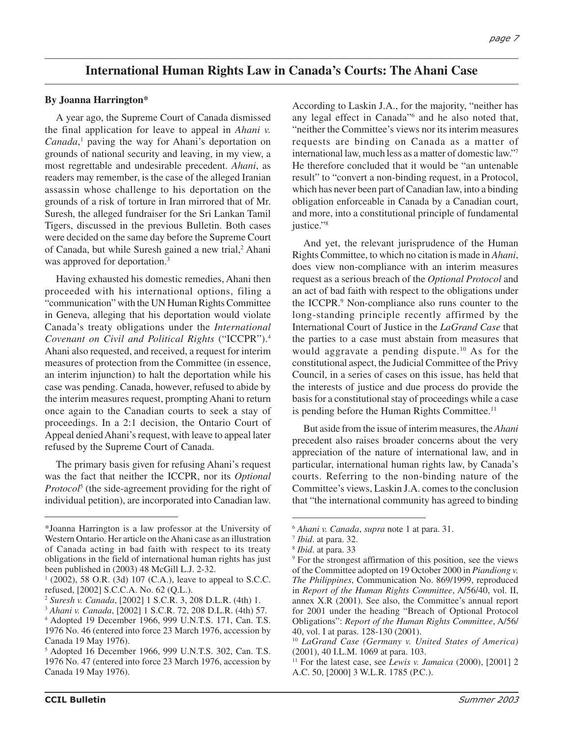# **International Human Rights Law in Canada's Courts: The Ahani Case**

## **By Joanna Harrington\***

A year ago, the Supreme Court of Canada dismissed the final application for leave to appeal in *Ahani v. Canada*, <sup>1</sup> paving the way for Ahani's deportation on grounds of national security and leaving, in my view, a most regrettable and undesirable precedent. *Ahani*, as readers may remember, is the case of the alleged Iranian assassin whose challenge to his deportation on the grounds of a risk of torture in Iran mirrored that of Mr. Suresh, the alleged fundraiser for the Sri Lankan Tamil Tigers, discussed in the previous Bulletin. Both cases were decided on the same day before the Supreme Court of Canada, but while Suresh gained a new trial,<sup>2</sup> Ahani was approved for deportation.<sup>3</sup>

Having exhausted his domestic remedies, Ahani then proceeded with his international options, filing a "communication" with the UN Human Rights Committee in Geneva, alleging that his deportation would violate Canada's treaty obligations under the *International Covenant on Civil and Political Rights* ("ICCPR").4 Ahani also requested, and received, a request for interim measures of protection from the Committee (in essence, an interim injunction) to halt the deportation while his case was pending. Canada, however, refused to abide by the interim measures request, prompting Ahani to return once again to the Canadian courts to seek a stay of proceedings. In a 2:1 decision, the Ontario Court of Appeal denied Ahani's request, with leave to appeal later refused by the Supreme Court of Canada.

The primary basis given for refusing Ahani's request was the fact that neither the ICCPR, nor its *Optional Protocol*<sup>5</sup> (the side-agreement providing for the right of individual petition), are incorporated into Canadian law.

According to Laskin J.A., for the majority, "neither has any legal effect in Canada"6 and he also noted that, "neither the Committee's views nor its interim measures requests are binding on Canada as a matter of international law, much less as a matter of domestic law."7 He therefore concluded that it would be "an untenable result" to "convert a non-binding request, in a Protocol, which has never been part of Canadian law, into a binding obligation enforceable in Canada by a Canadian court, and more, into a constitutional principle of fundamental justice."<sup>8</sup>

And yet, the relevant jurisprudence of the Human Rights Committee, to which no citation is made in *Ahani*, does view non-compliance with an interim measures request as a serious breach of the *Optional Protocol* and an act of bad faith with respect to the obligations under the ICCPR.9 Non-compliance also runs counter to the long-standing principle recently affirmed by the International Court of Justice in the *LaGrand Case* that the parties to a case must abstain from measures that would aggravate a pending dispute.<sup>10</sup> As for the constitutional aspect, the Judicial Committee of the Privy Council, in a series of cases on this issue, has held that the interests of justice and due process do provide the basis for a constitutional stay of proceedings while a case is pending before the Human Rights Committee.<sup>11</sup>

But aside from the issue of interim measures, the *Ahani* precedent also raises broader concerns about the very appreciation of the nature of international law, and in particular, international human rights law, by Canada's courts. Referring to the non-binding nature of the Committee's views, Laskin J.A. comes to the conclusion that "the international community has agreed to binding

<sup>\*</sup>Joanna Harrington is a law professor at the University of Western Ontario. Her article on the Ahani case as an illustration of Canada acting in bad faith with respect to its treaty obligations in the field of international human rights has just been published in (2003) 48 McGill L.J. 2-32.

 $1$  (2002), 58 O.R. (3d) 107 (C.A.), leave to appeal to S.C.C. refused, [2002] S.C.C.A. No. 62 (Q.L.).

<sup>2</sup> *Suresh v. Canada*, [2002] 1 S.C.R. 3, 208 D.L.R. (4th) 1.

<sup>3</sup> *Ahani v. Canada*, [2002] 1 S.C.R. 72, 208 D.L.R. (4th) 57.

<sup>4</sup> Adopted 19 December 1966, 999 U.N.T.S. 171, Can. T.S. 1976 No. 46 (entered into force 23 March 1976, accession by Canada 19 May 1976).

<sup>5</sup> Adopted 16 December 1966, 999 U.N.T.S. 302, Can. T.S. 1976 No. 47 (entered into force 23 March 1976, accession by Canada 19 May 1976).

<sup>6</sup> *Ahani v. Canada*, *supra* note 1 at para. 31.

<sup>7</sup> *Ibid*. at para. 32.

<sup>8</sup> *Ibid*. at para. 33

<sup>9</sup> For the strongest affirmation of this position, see the views of the Committee adopted on 19 October 2000 in *Piandiong v. The Philippines*, Communication No. 869/1999, reproduced in *Report of the Human Rights Committee*, A/56/40, vol. II, annex X.R (2001). See also, the Committee's annual report for 2001 under the heading "Breach of Optional Protocol Obligations": *Report of the Human Rights Committee*, A/56/ 40, vol. I at paras. 128-130 (2001).

<sup>10</sup> *LaGrand Case (Germany v. United States of America)* (2001), 40 I.L.M. 1069 at para. 103.

<sup>11</sup> For the latest case, see *Lewis v. Jamaica* (2000), [2001] 2 A.C. 50, [2000] 3 W.L.R. 1785 (P.C.).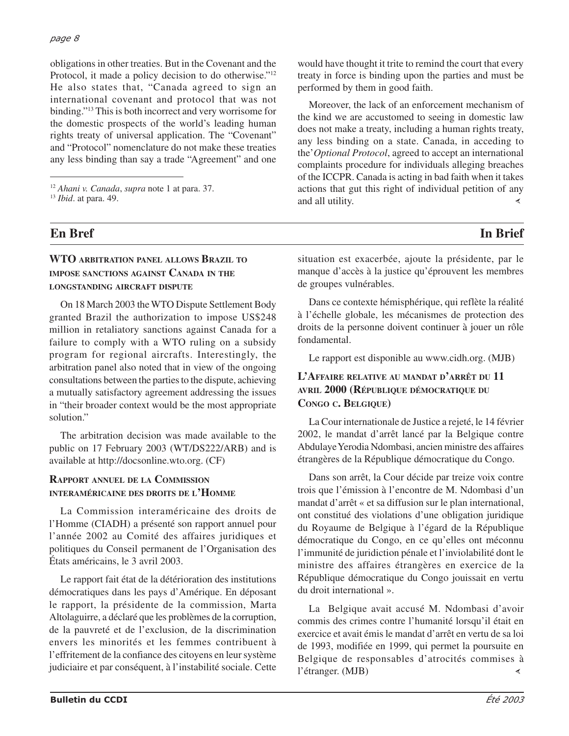#### *page 8*

obligations in other treaties. But in the Covenant and the Protocol, it made a policy decision to do otherwise."12 He also states that, "Canada agreed to sign an international covenant and protocol that was not binding."13 This is both incorrect and very worrisome for the domestic prospects of the world's leading human rights treaty of universal application. The "Covenant" and "Protocol" nomenclature do not make these treaties any less binding than say a trade "Agreement" and one

# **En Bref In Brief**

## **WTO ARBITRATION PANEL ALLOWS BRAZIL TO IMPOSE SANCTIONS AGAINST CANADA IN THE LONGSTANDING AIRCRAFT DISPUTE**

On 18 March 2003 the WTO Dispute Settlement Body granted Brazil the authorization to impose US\$248 million in retaliatory sanctions against Canada for a failure to comply with a WTO ruling on a subsidy program for regional aircrafts. Interestingly, the arbitration panel also noted that in view of the ongoing consultations between the parties to the dispute, achieving a mutually satisfactory agreement addressing the issues in "their broader context would be the most appropriate solution."

The arbitration decision was made available to the public on 17 February 2003 (WT/DS222/ARB) and is available at http://docsonline.wto.org. (CF)

## **RAPPORT ANNUEL DE LA COMMISSION INTERAMÉRICAINE DES DROITS DE L'HOMME**

La Commission interaméricaine des droits de l'Homme (CIADH) a présenté son rapport annuel pour l'année 2002 au Comité des affaires juridiques et politiques du Conseil permanent de l'Organisation des États américains, le 3 avril 2003.

Le rapport fait état de la détérioration des institutions démocratiques dans les pays d'Amérique. En déposant le rapport, la présidente de la commission, Marta Altolaguirre, a déclaré que les problèmes de la corruption, de la pauvreté et de l'exclusion, de la discrimination envers les minorités et les femmes contribuent à l'effritement de la confiance des citoyens en leur système judiciaire et par conséquent, à l'instabilité sociale. Cette

would have thought it trite to remind the court that every treaty in force is binding upon the parties and must be performed by them in good faith.

Moreover, the lack of an enforcement mechanism of the kind we are accustomed to seeing in domestic law does not make a treaty, including a human rights treaty, any less binding on a state. Canada, in acceding to the'*Optional Protocol*, agreed to accept an international complaints procedure for individuals alleging breaches of the ICCPR. Canada is acting in bad faith when it takes actions that gut this right of individual petition of any and all utility.

situation est exacerbée, ajoute la présidente, par le manque d'accès à la justice qu'éprouvent les membres de groupes vulnérables.

Dans ce contexte hémisphérique, qui reflète la réalité à l'échelle globale, les mécanismes de protection des droits de la personne doivent continuer à jouer un rôle fondamental.

Le rapport est disponible au www.cidh.org. (MJB)

## **L'AFFAIRE RELATIVE AU MANDAT D'ARRÊT DU 11 AVRIL 2000 (RÉPUBLIQUE DÉMOCRATIQUE DU CONGO C. BELGIQUE)**

La Cour internationale de Justice a rejeté, le 14 février 2002, le mandat d'arrêt lancé par la Belgique contre Abdulaye Yerodia Ndombasi, ancien ministre des affaires étrangères de la République démocratique du Congo.

Dans son arrêt, la Cour décide par treize voix contre trois que l'émission à l'encontre de M. Ndombasi d'un mandat d'arrêt « et sa diffusion sur le plan international, ont constitué des violations d'une obligation juridique du Royaume de Belgique à l'égard de la République démocratique du Congo, en ce qu'elles ont méconnu l'immunité de juridiction pénale et l'inviolabilité dont le ministre des affaires étrangères en exercice de la République démocratique du Congo jouissait en vertu du droit international ».

La Belgique avait accusé M. Ndombasi d'avoir commis des crimes contre l'humanité lorsqu'il était en exercice et avait émis le mandat d'arrêt en vertu de sa loi de 1993, modifiée en 1999, qui permet la poursuite en Belgique de responsables d'atrocités commises à l'étranger. (MJB)≺

<sup>12</sup> *Ahani v. Canada*, *supra* note 1 at para. 37.

<sup>13</sup> *Ibid*. at para. 49.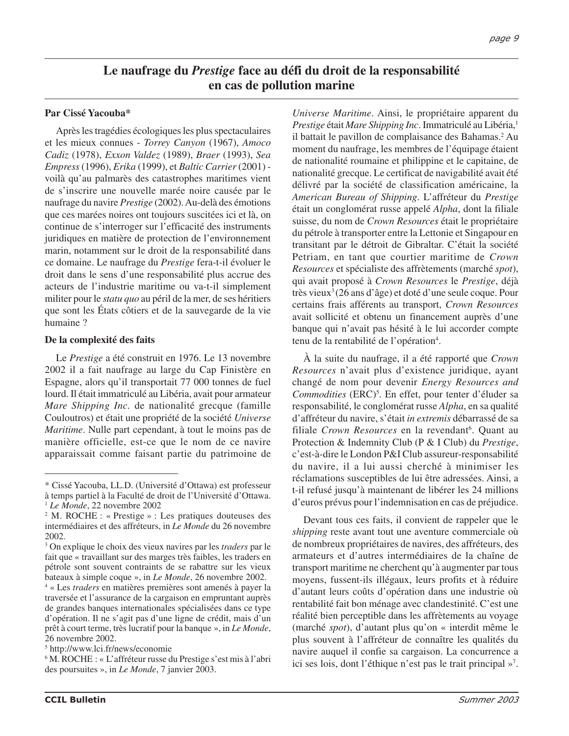# **Le naufrage du** *Prestige* **face au défi du droit de la responsabilité en cas de pollution marine**

## **Par Cissé Yacouba\***

Après les tragédies écologiques les plus spectaculaires et les mieux connues - *Torrey Canyon* (1967), *Amoco Cadiz* (1978), *Exxon Valdez* (1989), *Braer* (1993), *Sea Empress*(1996), *Erika* (1999), et *Baltic Carrier*(2001) voilà qu'au palmarès des catastrophes maritimes vient de s'inscrire une nouvelle marée noire causée par le naufrage du navire *Prestige* (2002). Au-delà des émotions que ces marées noires ont toujours suscitées ici et là, on continue de s'interroger sur l'efficacité des instruments juridiques en matière de protection de l'environnement marin, notamment sur le droit de la responsabilité dans ce domaine. Le naufrage du *Prestige* fera-t-il évoluer le droit dans le sens d'une responsabilité plus accrue des acteurs de l'industrie maritime ou va-t-il simplement militer pour le *statu quo* au péril de la mer, de ses héritiers que sont les États côtiers et de la sauvegarde de la vie humaine ?

## **De la complexité des faits**

Le *Prestige* a été construit en 1976. Le 13 novembre 2002 il a fait naufrage au large du Cap Finistère en Espagne, alors qu'il transportait 77 000 tonnes de fuel lourd. Il était immatriculé au Libéria, avait pour armateur *Mare Shipping Inc.* de nationalité grecque (famille Couloutros) et était une propriété de la société *Universe Maritime*. Nulle part cependant, à tout le moins pas de manière officielle, est-ce que le nom de ce navire apparaissait comme faisant partie du patrimoine de

*Universe Maritime*. Ainsi, le propriétaire apparent du *Prestige* était *Mare Shipping Inc.* Immatriculé au Libéria,<sup>1</sup> il battait le pavillon de complaisance des Bahamas.<sup>2</sup> Au moment du naufrage, les membres de l'équipage étaient de nationalité roumaine et philippine et le capitaine, de nationalité grecque. Le certificat de navigabilité avait été délivré par la société de classification américaine, la *American Bureau of Shipping*. L'affréteur du *Prestige* était un conglomérat russe appelé *Alpha*, dont la filiale suisse, du nom de *Crown Resources* était le propriétaire du pétrole à transporter entre la Lettonie et Singapour en transitant par le détroit de Gibraltar. C'était la société Petriam, en tant que courtier maritime de *Crown Resources* et spécialiste des affrètements (marché *spot*), qui avait proposé à *Crown Resources* le *Prestige*, déjà très vieux3 (26 ans d'âge) et doté d'une seule coque. Pour certains frais afférents au transport, *Crown Resources* avait sollicité et obtenu un financement auprès d'une banque qui n'avait pas hésité à le lui accorder compte tenu de la rentabilité de l'opération<sup>4</sup>.

À la suite du naufrage, il a été rapporté que *Crown Resources* n'avait plus d'existence juridique, ayant changé de nom pour devenir *Energy Resources and* Commodities (ERC)<sup>5</sup>. En effet, pour tenter d'éluder sa responsabilité, le conglomérat russe *Alpha*, en sa qualité d'affréteur du navire, s'était *in extremis* débarrassé de sa filiale Crown Resources en la revendant<sup>6</sup>. Quant au Protection & Indemnity Club (P & I Club) du *Prestige*, c'est-à-dire le London P&I Club assureur-responsabilité du navire, il a lui aussi cherché à minimiser les réclamations susceptibles de lui être adressées. Ainsi, a t-il refusé jusqu'à maintenant de libérer les 24 millions d'euros prévus pour l'indemnisation en cas de préjudice.

Devant tous ces faits, il convient de rappeler que le *shipping* reste avant tout une aventure commerciale où de nombreux propriétaires de navires, des affréteurs, des armateurs et d'autres intermédiaires de la chaîne de transport maritime ne cherchent qu'à augmenter par tous moyens, fussent-ils illégaux, leurs profits et à réduire d'autant leurs coûts d'opération dans une industrie où rentabilité fait bon ménage avec clandestinité. C'est une réalité bien perceptible dans les affrètements au voyage (marché *spot*), d'autant plus qu'on « interdit même le plus souvent à l'affréteur de connaître les qualités du navire auquel il confie sa cargaison. La concurrence a ici ses lois, dont l'éthique n'est pas le trait principal »7 .

<sup>\*</sup> Cissé Yacouba, LL.D. (Université d'Ottawa) est professeur à temps partiel à la Faculté de droit de l'Université d'Ottawa. <sup>1</sup> *Le Monde*, 22 novembre 2002

<sup>2</sup> M. ROCHE : « Prestige » : Les pratiques douteuses des intermédiaires et des affréteurs, in *Le Monde* du 26 novembre 2002.

<sup>3</sup> On explique le choix des vieux navires par les *traders* par le fait que « travaillant sur des marges très faibles, les traders en pétrole sont souvent contraints de se rabattre sur les vieux bateaux à simple coque », in *Le Monde*, 26 novembre 2002.

<sup>4</sup> « Les *traders* en matières premières sont amenés à payer la traversée et l'assurance de la cargaison en empruntant auprès de grandes banques internationales spécialisées dans ce type d'opération. Il ne s'agit pas d'une ligne de crédit, mais d'un prêt à court terme, très lucratif pour la banque », in *Le Monde*, 26 novembre 2002.

<sup>5</sup> http://www.lci.fr/news/economie

<sup>6</sup> M. ROCHE : « L'affréteur russe du Prestige s'est mis à l'abri des poursuites », in *Le Monde*, 7 janvier 2003.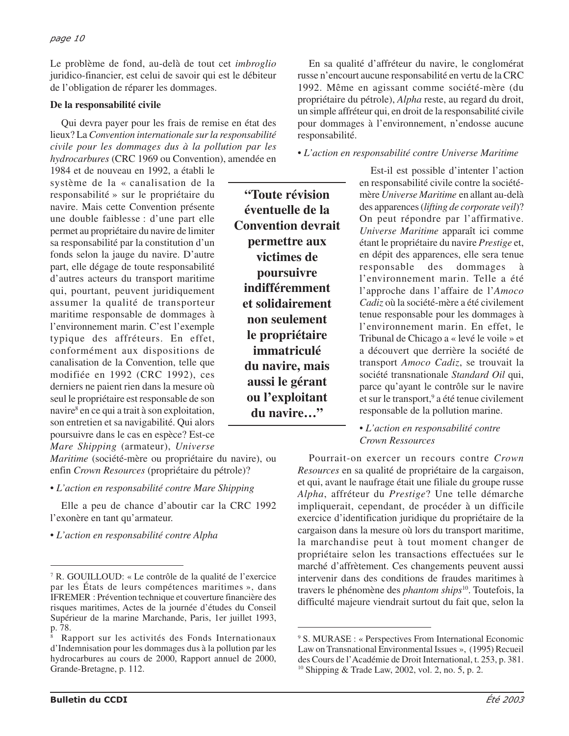Le problème de fond, au-delà de tout cet *imbroglio* juridico-financier, est celui de savoir qui est le débiteur de l'obligation de réparer les dommages.

## **De la responsabilité civile**

Qui devra payer pour les frais de remise en état des lieux? La *Convention internationale sur la responsabilité civile pour les dommages dus à la pollution par les hydrocarbures* (CRC 1969 ou Convention), amendée en

1984 et de nouveau en 1992, a établi le système de la « canalisation de la responsabilité » sur le propriétaire du navire. Mais cette Convention présente une double faiblesse : d'une part elle permet au propriétaire du navire de limiter sa responsabilité par la constitution d'un fonds selon la jauge du navire. D'autre part, elle dégage de toute responsabilité d'autres acteurs du transport maritime qui, pourtant, peuvent juridiquement assumer la qualité de transporteur maritime responsable de dommages à l'environnement marin. C'est l'exemple typique des affréteurs. En effet, conformément aux dispositions de canalisation de la Convention, telle que modifiée en 1992 (CRC 1992), ces derniers ne paient rien dans la mesure où seul le propriétaire est responsable de son navire<sup>8</sup> en ce qui a trait à son exploitation, son entretien et sa navigabilité. Qui alors poursuivre dans le cas en espèce? Est-ce *Mare Shipping* (armateur), *Universe*

*Maritime* (société-mère ou propriétaire du navire), ou enfin *Crown Resources* (propriétaire du pétrole)?

*• L'action en responsabilité contre Mare Shipping*

Elle a peu de chance d'aboutir car la CRC 1992 l'exonère en tant qu'armateur.

*• L'action en responsabilité contre Alpha*

En sa qualité d'affréteur du navire, le conglomérat russe n'encourt aucune responsabilité en vertu de la CRC 1992. Même en agissant comme société-mère (du propriétaire du pétrole), *Alpha* reste, au regard du droit, un simple affréteur qui, en droit de la responsabilité civile pour dommages à l'environnement, n'endosse aucune responsabilité.

*• L'action en responsabilité contre Universe Maritime*

**"Toute révision éventuelle de la Convention devrait permettre aux victimes de poursuivre indifféremment et solidairement non seulement le propriétaire immatriculé du navire, mais aussi le gérant ou l'exploitant du navire…"**

Est-il est possible d'intenter l'action en responsabilité civile contre la sociétémère *Universe Maritime* en allant au-delà des apparences (*lifting de corporate veil*)? On peut répondre par l'affirmative. *Universe Maritime* apparaît ici comme étant le propriétaire du navire *Prestige* et, en dépit des apparences, elle sera tenue responsable des dommages à l'environnement marin. Telle a été l'approche dans l'affaire de l'*Amoco Cadiz* où la société-mère a été civilement tenue responsable pour les dommages à l'environnement marin. En effet, le Tribunal de Chicago a « levé le voile » et a découvert que derrière la société de transport *Amoco Cadiz*, se trouvait la société transnationale *Standard Oil* qui, parce qu'ayant le contrôle sur le navire et sur le transport,<sup>9</sup> a été tenue civilement responsable de la pollution marine.

*• L'action en responsabilité contre Crown Ressources*

Pourrait-on exercer un recours contre *Crown Resources* en sa qualité de propriétaire de la cargaison, et qui, avant le naufrage était une filiale du groupe russe *Alpha*, affréteur du *Prestige*? Une telle démarche impliquerait, cependant, de procéder à un difficile exercice d'identification juridique du propriétaire de la cargaison dans la mesure où lors du transport maritime, la marchandise peut à tout moment changer de propriétaire selon les transactions effectuées sur le marché d'affrètement. Ces changements peuvent aussi intervenir dans des conditions de fraudes maritimes à travers le phénomène des *phantom ships*10. Toutefois, la difficulté majeure viendrait surtout du fait que, selon la

<sup>7</sup> R. GOUILLOUD: « Le contrôle de la qualité de l'exercice par les États de leurs compétences maritimes », dans IFREMER : Prévention technique et couverture financière des risques maritimes, Actes de la journée d'études du Conseil Supérieur de la marine Marchande, Paris, 1er juillet 1993, p. 78.

<sup>8</sup> Rapport sur les activités des Fonds Internationaux d'Indemnisation pour les dommages dus à la pollution par les hydrocarbures au cours de 2000, Rapport annuel de 2000, Grande-Bretagne, p. 112.

<sup>9</sup> S. MURASE : « Perspectives From International Economic Law on Transnational Environmental Issues », (1995) Recueil des Cours de l'Académie de Droit International, t. 253, p. 381. 10 Shipping & Trade Law, 2002, vol. 2, no. 5, p. 2.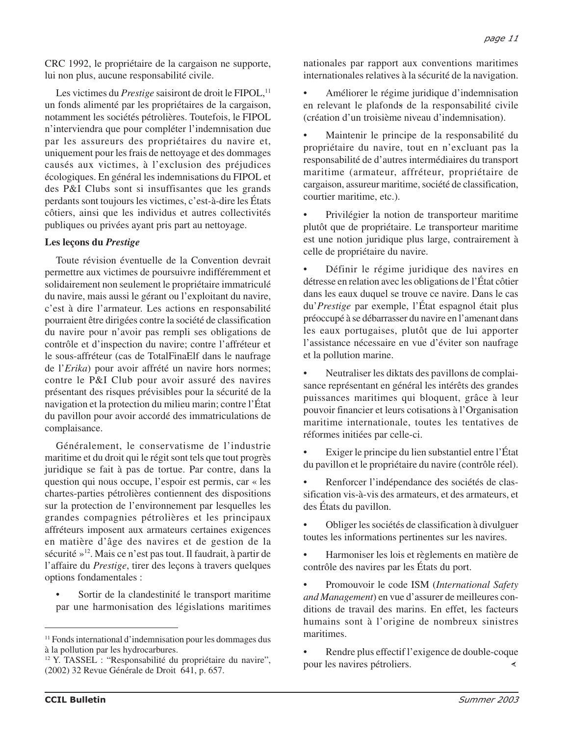CRC 1992, le propriétaire de la cargaison ne supporte, lui non plus, aucune responsabilité civile.

Les victimes du *Prestige* saisiront de droit le FIPOL,<sup>11</sup> un fonds alimenté par les propriétaires de la cargaison, notamment les sociétés pétrolières. Toutefois, le FIPOL n'interviendra que pour compléter l'indemnisation due par les assureurs des propriétaires du navire et, uniquement pour les frais de nettoyage et des dommages causés aux victimes, à l'exclusion des préjudices écologiques. En général les indemnisations du FIPOL et des P&I Clubs sont si insuffisantes que les grands perdants sont toujours les victimes, c'est-à-dire les États côtiers, ainsi que les individus et autres collectivités publiques ou privées ayant pris part au nettoyage.

## **Les leçons du** *Prestige*

Toute révision éventuelle de la Convention devrait permettre aux victimes de poursuivre indifféremment et solidairement non seulement le propriétaire immatriculé du navire, mais aussi le gérant ou l'exploitant du navire, c'est à dire l'armateur. Les actions en responsabilité pourraient être dirigées contre la société de classification du navire pour n'avoir pas rempli ses obligations de contrôle et d'inspection du navire; contre l'affréteur et le sous-affréteur (cas de TotalFinaElf dans le naufrage de l'*Erika*) pour avoir affrété un navire hors normes; contre le P&I Club pour avoir assuré des navires présentant des risques prévisibles pour la sécurité de la navigation et la protection du milieu marin; contre l'État du pavillon pour avoir accordé des immatriculations de complaisance.

Généralement, le conservatisme de l'industrie maritime et du droit qui le régit sont tels que tout progrès juridique se fait à pas de tortue. Par contre, dans la question qui nous occupe, l'espoir est permis, car « les chartes-parties pétrolières contiennent des dispositions sur la protection de l'environnement par lesquelles les grandes compagnies pétrolières et les principaux affréteurs imposent aux armateurs certaines exigences en matière d'âge des navires et de gestion de la sécurité »12. Mais ce n'est pas tout. Il faudrait, à partir de l'affaire du *Prestige*, tirer des leçons à travers quelques options fondamentales :

• Sortir de la clandestinité le transport maritime par une harmonisation des législations maritimes nationales par rapport aux conventions maritimes internationales relatives à la sécurité de la navigation.

• Améliorer le régime juridique d'indemnisation en relevant le plafonds de la responsabilité civile (création d'un troisième niveau d'indemnisation).

• Maintenir le principe de la responsabilité du propriétaire du navire, tout en n'excluant pas la responsabilité de d'autres intermédiaires du transport maritime (armateur, affréteur, propriétaire de cargaison, assureur maritime, société de classification, courtier maritime, etc.).

• Privilégier la notion de transporteur maritime plutôt que de propriétaire. Le transporteur maritime est une notion juridique plus large, contrairement à celle de propriétaire du navire.

Définir le régime juridique des navires en détresse en relation avec les obligations de l'État côtier dans les eaux duquel se trouve ce navire. Dans le cas du'*Prestige* par exemple, l'État espagnol était plus préoccupé à se débarrasser du navire en l'amenant dans les eaux portugaises, plutôt que de lui apporter l'assistance nécessaire en vue d'éviter son naufrage et la pollution marine.

• Neutraliser les diktats des pavillons de complaisance représentant en général les intérêts des grandes puissances maritimes qui bloquent, grâce à leur pouvoir financier et leurs cotisations à l'Organisation maritime internationale, toutes les tentatives de réformes initiées par celle-ci.

• Exiger le principe du lien substantiel entre l'État du pavillon et le propriétaire du navire (contrôle réel).

Renforcer l'indépendance des sociétés de classification vis-à-vis des armateurs, et des armateurs, et des États du pavillon.

• Obliger les sociétés de classification à divulguer toutes les informations pertinentes sur les navires.

• Harmoniser les lois et règlements en matière de contrôle des navires par les États du port.

• Promouvoir le code ISM (*International Safety and Management*) en vue d'assurer de meilleures conditions de travail des marins. En effet, les facteurs humains sont à l'origine de nombreux sinistres maritimes.

Rendre plus effectif l'exigence de double-coque pour les navires pétroliers. ∢

<sup>&</sup>lt;sup>11</sup> Fonds international d'indemnisation pour les dommages dus à la pollution par les hydrocarbures.

<sup>12</sup> Y. TASSEL : "Responsabilité du propriétaire du navire", (2002) 32 Revue Générale de Droit 641, p. 657.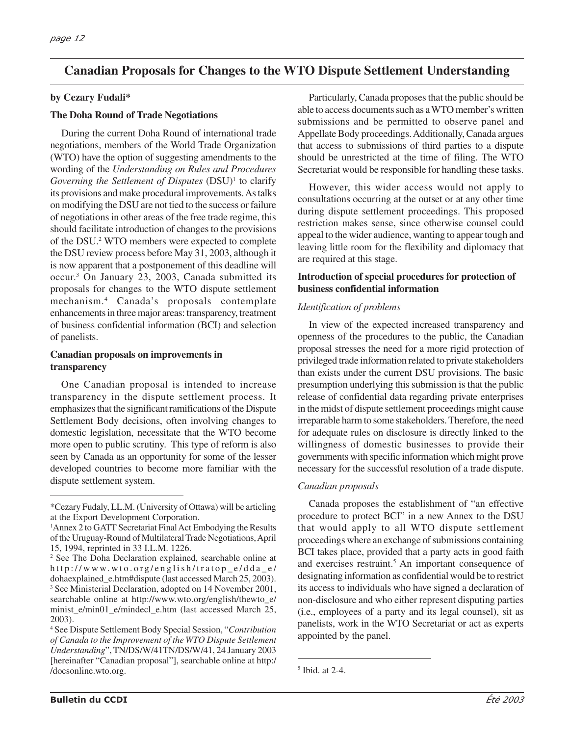# **Canadian Proposals for Changes to the WTO Dispute Settlement Understanding**

## **by Cezary Fudali\***

#### **The Doha Round of Trade Negotiations**

During the current Doha Round of international trade negotiations, members of the World Trade Organization (WTO) have the option of suggesting amendments to the wording of the *Understanding on Rules and Procedures Governing the Settlement of Disputes* (DSU)<sup>1</sup> to clarify its provisions and make procedural improvements. As talks on modifying the DSU are not tied to the success or failure of negotiations in other areas of the free trade regime, this should facilitate introduction of changes to the provisions of the DSU.2 WTO members were expected to complete the DSU review process before May 31, 2003, although it is now apparent that a postponement of this deadline will occur.3 On January 23, 2003, Canada submitted its proposals for changes to the WTO dispute settlement mechanism.4 Canada's proposals contemplate enhancements in three major areas: transparency, treatment of business confidential information (BCI) and selection of panelists.

#### **Canadian proposals on improvements in transparency**

One Canadian proposal is intended to increase transparency in the dispute settlement process. It emphasizes that the significant ramifications of the Dispute Settlement Body decisions, often involving changes to domestic legislation, necessitate that the WTO become more open to public scrutiny. This type of reform is also seen by Canada as an opportunity for some of the lesser developed countries to become more familiar with the dispute settlement system.

<sup>2</sup> See The Doha Declaration explained, searchable online at http://www.wto.org/english/tratop\_e/dda\_e/ dohaexplained\_e.htm#dispute (last accessed March 25, 2003). <sup>3</sup> See Ministerial Declaration, adopted on 14 November 2001, searchable online at http://www.wto.org/english/thewto\_e/ minist\_e/min01\_e/mindecl\_e.htm (last accessed March 25, 2003).

Particularly, Canada proposes that the public should be able to access documents such as a WTO member's written submissions and be permitted to observe panel and Appellate Body proceedings. Additionally, Canada argues that access to submissions of third parties to a dispute should be unrestricted at the time of filing. The WTO Secretariat would be responsible for handling these tasks.

However, this wider access would not apply to consultations occurring at the outset or at any other time during dispute settlement proceedings. This proposed restriction makes sense, since otherwise counsel could appeal to the wider audience, wanting to appear tough and leaving little room for the flexibility and diplomacy that are required at this stage.

#### **Introduction of special procedures for protection of business confidential information**

#### *Identification of problems*

In view of the expected increased transparency and openness of the procedures to the public, the Canadian proposal stresses the need for a more rigid protection of privileged trade information related to private stakeholders than exists under the current DSU provisions. The basic presumption underlying this submission is that the public release of confidential data regarding private enterprises in the midst of dispute settlement proceedings might cause irreparable harm to some stakeholders. Therefore, the need for adequate rules on disclosure is directly linked to the willingness of domestic businesses to provide their governments with specific information which might prove necessary for the successful resolution of a trade dispute.

#### *Canadian proposals*

Canada proposes the establishment of "an effective procedure to protect BCI" in a new Annex to the DSU that would apply to all WTO dispute settlement proceedings where an exchange of submissions containing BCI takes place, provided that a party acts in good faith and exercises restraint.<sup>5</sup> An important consequence of designating information as confidential would be to restrict its access to individuals who have signed a declaration of non-disclosure and who either represent disputing parties (i.e., employees of a party and its legal counsel), sit as panelists, work in the WTO Secretariat or act as experts appointed by the panel.

<sup>\*</sup>Cezary Fudaly, LL.M. (University of Ottawa) will be articling at the Export Development Corporation.

<sup>&</sup>lt;sup>1</sup> Annex 2 to GATT Secretariat Final Act Embodying the Results of the Uruguay-Round of Multilateral Trade Negotiations, April 15, 1994, reprinted in 33 I.L.M. 1226.

<sup>4</sup> See Dispute Settlement Body Special Session, "*Contribution of Canada to the Improvement of the WTO Dispute Settlement Understanding*", TN/DS/W/41TN/DS/W/41, 24 January 2003 [hereinafter "Canadian proposal"], searchable online at http:/ /docsonline.wto.org. <sup>5</sup>

 $<sup>5</sup>$  Ibid. at 2-4.</sup>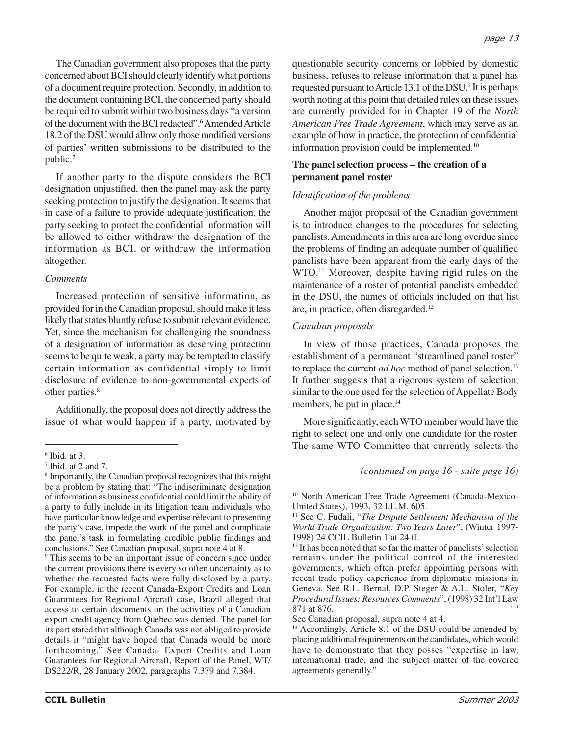The Canadian government also proposes that the party concerned about BCI should clearly identify what portions of a document require protection. Secondly, in addition to the document containing BCI, the concerned party should be required to submit within two business days "a version of the document with the BCI redacted".<sup>6</sup> Amended Article 18.2 of the DSU would allow only those modified versions of parties' written submissions to be distributed to the public.7

If another party to the dispute considers the BCI designation unjustified, then the panel may ask the party seeking protection to justify the designation. It seems that in case of a failure to provide adequate justification, the party seeking to protect the confidential information will be allowed to either withdraw the designation of the information as BCI, or withdraw the information altogether.

#### *Comments*

Increased protection of sensitive information, as provided for in the Canadian proposal, should make it less likely that states bluntly refuse to submit relevant evidence. Yet, since the mechanism for challenging the soundness of a designation of information as deserving protection seems to be quite weak, a party may be tempted to classify certain information as confidential simply to limit disclosure of evidence to non-governmental experts of other parties.<sup>8</sup>

Additionally, the proposal does not directly address the issue of what would happen if a party, motivated by

<sup>9</sup> This seems to be an important issue of concern since under the current provisions there is every so often uncertainty as to whether the requested facts were fully disclosed by a party. For example, in the recent Canada-Export Credits and Loan Guarantees for Regional Aircraft case, Brazil alleged that access to certain documents on the activities of a Canadian export credit agency from Quebec was denied. The panel for its part stated that although Canada was not obliged to provide details it "might have hoped that Canada would be more forthcoming." See Canada- Export Credits and Loan Guarantees for Regional Aircraft, Report of the Panel, WT/ DS222/R, 28 January 2002, paragraphs 7.379 and 7.384.

questionable security concerns or lobbied by domestic business, refuses to release information that a panel has requested pursuant to Article 13.1 of the DSU.9 It is perhaps worth noting at this point that detailed rules on these issues are currently provided for in Chapter 19 of the *North American Free Trade Agreement*, which may serve as an example of how in practice, the protection of confidential information provision could be implemented.10

## **The panel selection process – the creation of a permanent panel roster**

#### *Identification of the problems*

Another major proposal of the Canadian government is to introduce changes to the procedures for selecting panelists. Amendments in this area are long overdue since the problems of finding an adequate number of qualified panelists have been apparent from the early days of the WTO.11 Moreover, despite having rigid rules on the maintenance of a roster of potential panelists embedded in the DSU, the names of officials included on that list are, in practice, often disregarded.12

#### *Canadian proposals*

In view of those practices, Canada proposes the establishment of a permanent "streamlined panel roster" to replace the current *ad hoc* method of panel selection.<sup>13</sup> It further suggests that a rigorous system of selection, similar to the one used for the selection of Appellate Body members, be put in place.<sup>14</sup>

More significantly, each WTO member would have the right to select one and only one candidate for the roster. The same WTO Committee that currently selects the

*(continued on page 16 - suite page 16)*

<sup>6</sup> Ibid. at 3.

<sup>7</sup> Ibid. at 2 and 7.

<sup>8</sup> Importantly, the Canadian proposal recognizes that this might be a problem by stating that: "The indiscriminate designation of information as business confidential could limit the ability of a party to fully include in its litigation team individuals who have particular knowledge and expertise relevant to presenting the party's case, impede the work of the panel and complicate the panel's task in formulating credible public findings and conclusions." See Canadian proposal, supra note 4 at 8.

<sup>10</sup> North American Free Trade Agreement (Canada-Mexico-United States), 1993, 32 I.L.M. 605.

<sup>11</sup> See C. Fudali, "*The Dispute Settlement Mechanism of the World Trade Organization: Two Years Later*", (Winter 1997- 1998) 24 CCIL Bulletin 1 at 24 ff.

<sup>&</sup>lt;sup>12</sup> It has been noted that so far the matter of panelists' selection remains under the political control of the interested governments, which often prefer appointing persons with recent trade policy experience from diplomatic missions in Geneva. See R.L. Bernal, D.P. Steger & A.L. Stoler, "*Key Procedural Issues: Resources Comments*", (1998) 32 Int'l Law 871 at 876.

See Canadian proposal, supra note 4 at 4.

<sup>&</sup>lt;sup>14</sup> Accordingly, Article 8.1 of the DSU could be amended by placing additional requirements on the candidates, which would have to demonstrate that they posses "expertise in law, international trade, and the subject matter of the covered agreements generally."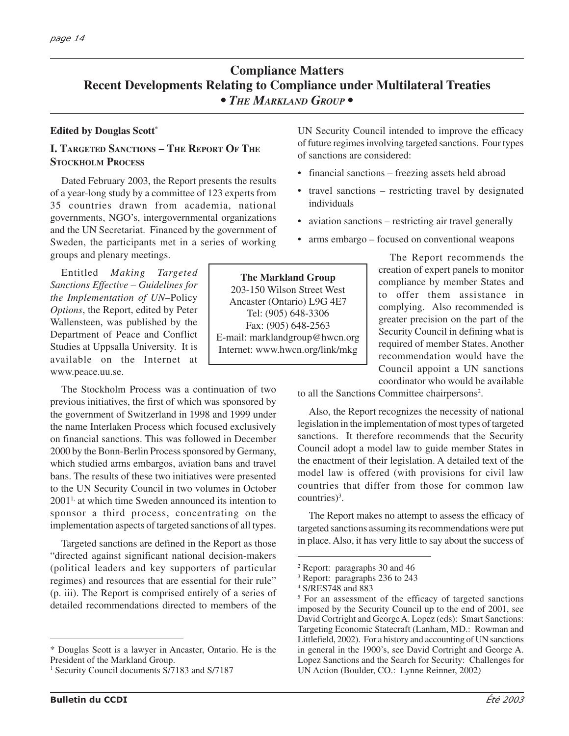# **Compliance Matters Recent Developments Relating to Compliance under Multilateral Treaties** *• THE MARKLAND GROUP •*

#### **Edited by Douglas Scott\***

## **I. TARGETED SANCTIONS – THE REPORT OF THE STOCKHOLM PROCESS**

Dated February 2003, the Report presents the results of a year-long study by a committee of 123 experts from 35 countries drawn from academia, national governments, NGO's, intergovernmental organizations and the UN Secretariat. Financed by the government of Sweden, the participants met in a series of working groups and plenary meetings.

Entitled *Making Targeted Sanctions Effective – Guidelines for the Implementation of UN–*Policy *Options*, the Report, edited by Peter Wallensteen, was published by the Department of Peace and Conflict Studies at Uppsalla University. It is available on the Internet at www.peace.uu.se.

The Stockholm Process was a continuation of two previous initiatives, the first of which was sponsored by the government of Switzerland in 1998 and 1999 under the name Interlaken Process which focused exclusively on financial sanctions. This was followed in December 2000 by the Bonn-Berlin Process sponsored by Germany, which studied arms embargos, aviation bans and travel bans. The results of these two initiatives were presented to the UN Security Council in two volumes in October 20011, at which time Sweden announced its intention to sponsor a third process, concentrating on the implementation aspects of targeted sanctions of all types.

Targeted sanctions are defined in the Report as those "directed against significant national decision-makers (political leaders and key supporters of particular regimes) and resources that are essential for their rule" (p. iii). The Report is comprised entirely of a series of detailed recommendations directed to members of the UN Security Council intended to improve the efficacy of future regimes involving targeted sanctions. Four types of sanctions are considered:

- financial sanctions freezing assets held abroad
- travel sanctions restricting travel by designated individuals
- aviation sanctions restricting air travel generally
- arms embargo focused on conventional weapons

**The Markland Group** 203-150 Wilson Street West Ancaster (Ontario) L9G 4E7 Tel: (905) 648-3306 Fax: (905) 648-2563 E-mail: marklandgroup@hwcn.org Internet: www.hwcn.org/link/mkg

The Report recommends the creation of expert panels to monitor compliance by member States and to offer them assistance in complying. Also recommended is greater precision on the part of the Security Council in defining what is required of member States. Another recommendation would have the Council appoint a UN sanctions coordinator who would be available

to all the Sanctions Committee chairpersons<sup>2</sup>.

Also, the Report recognizes the necessity of national legislation in the implementation of most types of targeted sanctions. It therefore recommends that the Security Council adopt a model law to guide member States in the enactment of their legislation. A detailed text of the model law is offered (with provisions for civil law countries that differ from those for common law  $countries)^3$ .

The Report makes no attempt to assess the efficacy of targeted sanctions assuming its recommendations were put in place. Also, it has very little to say about the success of

<sup>\*</sup> Douglas Scott is a lawyer in Ancaster, Ontario. He is the President of the Markland Group.

<sup>&</sup>lt;sup>1</sup> Security Council documents S/7183 and S/7187

<sup>2</sup> Report: paragraphs 30 and 46

<sup>3</sup> Report: paragraphs 236 to 243

<sup>4</sup> S/RES748 and 883

<sup>5</sup> For an assessment of the efficacy of targeted sanctions imposed by the Security Council up to the end of 2001, see David Cortright and George A. Lopez (eds): Smart Sanctions: Targeting Economic Statecraft (Lanham, MD.: Rowman and Littlefield, 2002). For a history and accounting of UN sanctions in general in the 1900's, see David Cortright and George A. Lopez Sanctions and the Search for Security: Challenges for UN Action (Boulder, CO.: Lynne Reinner, 2002)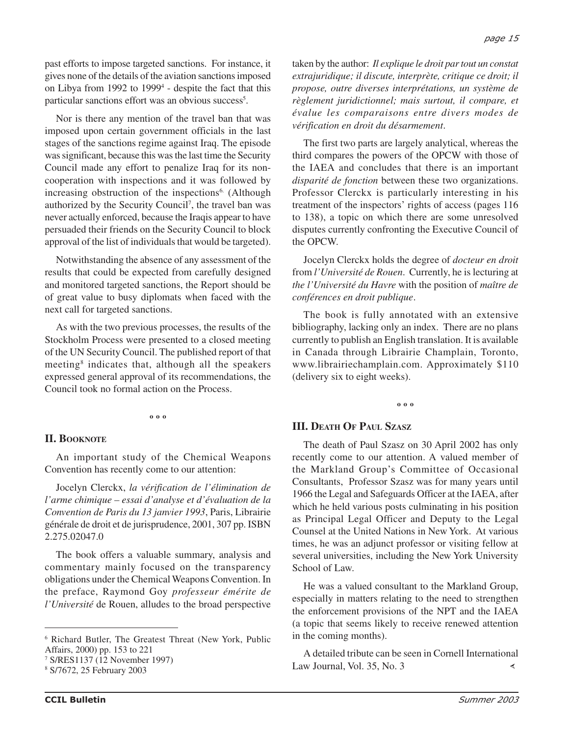past efforts to impose targeted sanctions. For instance, it gives none of the details of the aviation sanctions imposed on Libya from 1992 to 19994 - despite the fact that this particular sanctions effort was an obvious success<sup>5</sup>.

Nor is there any mention of the travel ban that was imposed upon certain government officials in the last stages of the sanctions regime against Iraq. The episode was significant, because this was the last time the Security Council made any effort to penalize Iraq for its noncooperation with inspections and it was followed by increasing obstruction of the inspections<sup>6.</sup> (Although authorized by the Security Council7 , the travel ban was never actually enforced, because the Iraqis appear to have persuaded their friends on the Security Council to block approval of the list of individuals that would be targeted).

Notwithstanding the absence of any assessment of the results that could be expected from carefully designed and monitored targeted sanctions, the Report should be of great value to busy diplomats when faced with the next call for targeted sanctions.

As with the two previous processes, the results of the Stockholm Process were presented to a closed meeting of the UN Security Council. The published report of that meeting<sup>8</sup> indicates that, although all the speakers expressed general approval of its recommendations, the Council took no formal action on the Process.

**º º º**

#### **II. BOOKNOTE**

An important study of the Chemical Weapons Convention has recently come to our attention:

Jocelyn Clerckx, *la vérification de l'élimination de l'arme chimique – essai d'analyse et d'évaluation de la Convention de Paris du 13 janvier 1993*, Paris, Librairie générale de droit et de jurisprudence, 2001, 307 pp. ISBN 2.275.02047.0

The book offers a valuable summary, analysis and commentary mainly focused on the transparency obligations under the Chemical Weapons Convention. In the preface, Raymond Goy *professeur émérite de l'Université* de Rouen, alludes to the broad perspective

taken by the author: *Il explique le droit par tout un constat extrajuridique; il discute, interprète, critique ce droit; il propose, outre diverses interprétations, un système de règlement juridictionnel; mais surtout, il compare, et évalue les comparaisons entre divers modes de vérification en droit du désarmement*.

The first two parts are largely analytical, whereas the third compares the powers of the OPCW with those of the IAEA and concludes that there is an important *disparité de fonction* between these two organizations. Professor Clerckx is particularly interesting in his treatment of the inspectors' rights of access (pages 116 to 138), a topic on which there are some unresolved disputes currently confronting the Executive Council of the OPCW.

Jocelyn Clerckx holds the degree of *docteur en droit* from *l'Université de Rouen*. Currently, he is lecturing at *the l'Université du Havre* with the position of *maître de conférences en droit publique*.

The book is fully annotated with an extensive bibliography, lacking only an index. There are no plans currently to publish an English translation. It is available in Canada through Librairie Champlain, Toronto, www.librairiechamplain.com. Approximately \$110 (delivery six to eight weeks).

#### **º º º**

#### **III. DEATH OF PAUL SZASZ**

The death of Paul Szasz on 30 April 2002 has only recently come to our attention. A valued member of the Markland Group's Committee of Occasional Consultants, Professor Szasz was for many years until 1966 the Legal and Safeguards Officer at the IAEA, after which he held various posts culminating in his position as Principal Legal Officer and Deputy to the Legal Counsel at the United Nations in New York. At various times, he was an adjunct professor or visiting fellow at several universities, including the New York University School of Law.

He was a valued consultant to the Markland Group, especially in matters relating to the need to strengthen the enforcement provisions of the NPT and the IAEA (a topic that seems likely to receive renewed attention in the coming months).

A detailed tribute can be seen in Cornell International Law Journal, Vol. 35, No. 3 ∢

<sup>6</sup> Richard Butler, The Greatest Threat (New York, Public Affairs, 2000) pp. 153 to 221

<sup>7</sup> S/RES1137 (12 November 1997)

<sup>8</sup> S/7672, 25 February 2003